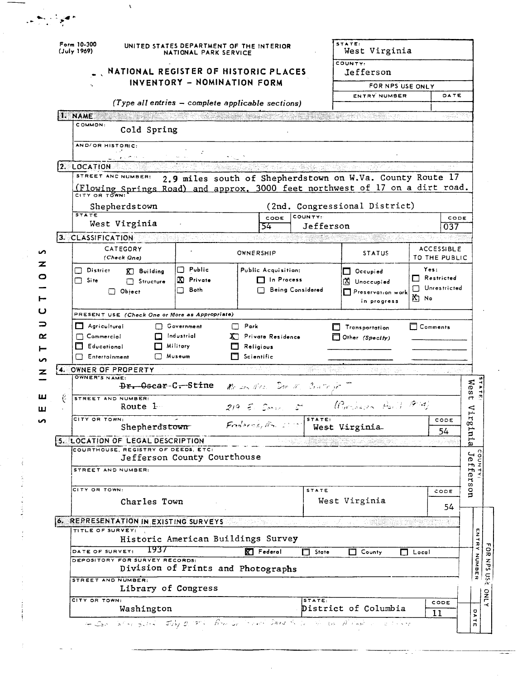|   | Form 10-300<br>(July 1969)                                                                                          | UNITED STATES DEPARTMENT OF THE INTERIOR<br>NATIONAL PARK SERVICE   |                              |                      | STATE:<br>West Virginia                                   |                                   |                                    |                                                                                                                                                                  |
|---|---------------------------------------------------------------------------------------------------------------------|---------------------------------------------------------------------|------------------------------|----------------------|-----------------------------------------------------------|-----------------------------------|------------------------------------|------------------------------------------------------------------------------------------------------------------------------------------------------------------|
|   |                                                                                                                     | NATIONAL REGISTER OF HISTORIC PLACES<br>INVENTORY - NOMINATION FORM |                              |                      | COUNTY:<br>Jefferson                                      |                                   |                                    |                                                                                                                                                                  |
|   |                                                                                                                     |                                                                     |                              |                      |                                                           | FOR NPS USE ONLY<br>ENTRY NUMBER  |                                    |                                                                                                                                                                  |
|   |                                                                                                                     | (Type all entries - complete applicable sections)                   |                              |                      |                                                           |                                   | DATE                               |                                                                                                                                                                  |
|   | I. NAME                                                                                                             |                                                                     |                              |                      |                                                           |                                   | najayî                             |                                                                                                                                                                  |
|   | COMMON.<br>Cold Spring                                                                                              |                                                                     |                              |                      |                                                           |                                   |                                    |                                                                                                                                                                  |
|   | AND/OR HISTORIC:                                                                                                    |                                                                     |                              |                      |                                                           |                                   |                                    |                                                                                                                                                                  |
|   | 2. LOCATION                                                                                                         |                                                                     |                              |                      |                                                           |                                   |                                    |                                                                                                                                                                  |
|   | STREET AND NUMBER:<br>(Flowing Springs Road) and approx. 3000 feet northwest of 17 on a dirt road.<br>CITY OR TOWN: |                                                                     |                              |                      | 2.9 miles south of Shepherdstown on W.Va. County Route 17 |                                   |                                    |                                                                                                                                                                  |
|   | Shepherdstown                                                                                                       |                                                                     |                              |                      | (2nd. Congressional District)                             |                                   |                                    |                                                                                                                                                                  |
|   | <b>STATE</b><br>West Virginia                                                                                       |                                                                     | CODE<br>54                   | COUNTY:<br>Jefferson |                                                           |                                   | CODE<br>037                        |                                                                                                                                                                  |
|   | 3. CLASSIFICATION                                                                                                   |                                                                     |                              |                      |                                                           |                                   |                                    |                                                                                                                                                                  |
|   | CATEGORY<br>(Check One)                                                                                             |                                                                     | OWNERSHIP                    |                      | <b>STATUS</b>                                             |                                   | <b>ACCESSIBLE</b><br>TO THE PUBLIC |                                                                                                                                                                  |
|   | $\Box$ District<br>$\overline{K}$ Building                                                                          | Public<br>□                                                         | Public Acquisition:          |                      | $\Box$ Occupied                                           | Yes:                              |                                    |                                                                                                                                                                  |
|   | $\Box$ Site<br>Structure                                                                                            | Private<br>Œ.                                                       | $\Box$ In Process            |                      | X Unoccupied                                              | $\Box$ Restricted<br>Unrestricted |                                    |                                                                                                                                                                  |
|   | $\Box$ Object                                                                                                       | Both                                                                |                              | Being Considered     | Preservation work<br>in progress                          | 的 No                              |                                    |                                                                                                                                                                  |
|   | PRESENT USE (Check One or More as Appropriate)                                                                      |                                                                     |                              |                      |                                                           |                                   |                                    |                                                                                                                                                                  |
|   | $\Box$ Agricultural                                                                                                 |                                                                     |                              |                      |                                                           |                                   |                                    |                                                                                                                                                                  |
|   |                                                                                                                     | Government                                                          | Park<br>П                    |                      | Transportation                                            | $\Box$ Comments                   |                                    |                                                                                                                                                                  |
|   | $\Box$ Commercial                                                                                                   | Industrial                                                          | Private Residence            |                      | $\Box$ Other (Specify)                                    |                                   |                                    |                                                                                                                                                                  |
|   | $\Box$ Educational                                                                                                  | Military.                                                           | Religious                    |                      |                                                           |                                   |                                    |                                                                                                                                                                  |
|   | Entertainment                                                                                                       | Museum                                                              | Scientific<br>r modifik      |                      |                                                           |                                   |                                    |                                                                                                                                                                  |
|   | 4. OWNER OF PROPERTY<br>OWNER'S NAME:<br>Dr. Oscar-C. Stine                                                         |                                                                     | Me any Mrs. Don M. Course in | 1939 - Step          |                                                           |                                   |                                    |                                                                                                                                                                  |
| ŀ | STREET AND NUMBER:                                                                                                  |                                                                     |                              |                      | (Purchasen Holl) 1974)                                    |                                   |                                    |                                                                                                                                                                  |
|   | Route 1<br>CITY OR TOWN:                                                                                            |                                                                     | $219 - 5$                    | STATE:               |                                                           |                                   | CODE                               |                                                                                                                                                                  |
|   | Shepherdstown                                                                                                       |                                                                     | Frederick, Mr. 2             |                      | West Virginia                                             |                                   | 54                                 |                                                                                                                                                                  |
|   | 5. LOCATION OF LEGAL DESCRIPTION                                                                                    |                                                                     |                              |                      |                                                           |                                   |                                    |                                                                                                                                                                  |
|   | COURTHOUSE, REGISTRY OF DEEDS, ETC.                                                                                 |                                                                     |                              |                      |                                                           |                                   |                                    |                                                                                                                                                                  |
|   | STREET AND NUMBER:                                                                                                  | Jefferson County Courthouse                                         |                              |                      |                                                           |                                   |                                    |                                                                                                                                                                  |
|   | CITY OR TOWN:                                                                                                       |                                                                     |                              |                      |                                                           |                                   |                                    |                                                                                                                                                                  |
|   | Charles Town                                                                                                        |                                                                     |                              | <b>STATE</b>         | West Virginia                                             |                                   | CODE<br>54                         |                                                                                                                                                                  |
|   | $\phi$ . REPRESENTATION IN EXISTING SURVEYS And the state of the state of the state of $\phi$                       |                                                                     |                              |                      |                                                           |                                   | 39                                 |                                                                                                                                                                  |
|   | TITLE OF SURVEY:                                                                                                    | Historic American Buildings Survey                                  |                              |                      |                                                           |                                   |                                    |                                                                                                                                                                  |
|   | 1937<br>DATE OF SURVEY:                                                                                             |                                                                     | $\mathbb{K}$ Federal         | State                | County                                                    | $\Box$ Local                      |                                    |                                                                                                                                                                  |
|   | DEPOSITORY FOR SURVEY RECORDS:                                                                                      | Division of Prints and Photographs                                  |                              |                      |                                                           |                                   |                                    |                                                                                                                                                                  |
|   | STREET AND NUMBER:<br>Library of Congress                                                                           |                                                                     |                              |                      |                                                           |                                   |                                    |                                                                                                                                                                  |
|   | CITY OR TOWN:<br>Washington                                                                                         |                                                                     |                              | STATE:               | District of Columbia                                      |                                   | CODE                               | Wes<br>4<br>⊲<br>$\mathbf{r}$<br>œ<br>tu <sub>1</sub><br>ā,<br>$\overline{\phantom{0}}$<br>$\frac{\Theta}{\Theta}$<br>fers<br>$\frac{1}{2}$<br>ENTRY NUMBER<br>о |

 $\hat{\bar{\lambda}}$ 

ł

i<br>Turkiy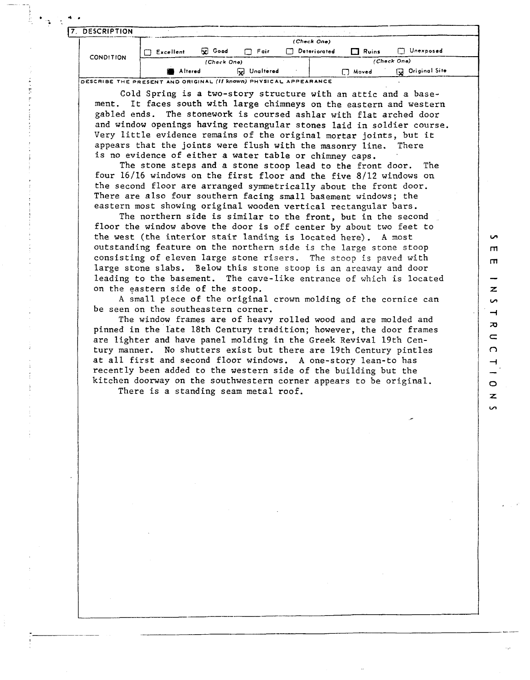| <b>DESCRIPTION</b> |           |                |                                      |              |              |                         |
|--------------------|-----------|----------------|--------------------------------------|--------------|--------------|-------------------------|
|                    |           |                |                                      | (Check One)  |              |                         |
|                    | Excellent | <b>Ex</b> Good | $\Box$ Fair                          | Deteriorated | $\Box$ Ruins | Unexposed               |
| <b>CONDITION</b>   |           | (Check One)    |                                      |              |              | (Check One)             |
|                    | Altered   |                | Unaltered<br>$\overline{\mathbf{v}}$ |              | □ Moved      | <b>Ga</b> Original Site |

Cold Spring is a two-story structure with an attic and a basement. It faces south with large chimneys on the eastern and western gabled ends. The stonework is coursed ashlar with flat arched door and window openings having rectangular stones laid in soldier course. Very little evidence remains of the original mortar joints, but it appears that the joints were flush with the masonry line. There is no evidence of either a water table or chimney caps.

The stone steps and a stone stoop lead to the front door. The four 16/16 windows on the first floor and the five 8/12 windows on the second floor are arranged symmetrically about the front door. There are also four southern facing small basement windows; the eastern most showing original wooden vertical rectangular bars.

The northern side is similar to the front, but in the second floor the window above the door is off center by about two feet to the west (the interior stair landing is located here). **A** most outstanding feature on the northern side is the large stone stoop consisting of eleven large stone risers. The stoop is paved with large stone slabs. Below this stone stoop is an areaway and door leading to the basement. The cave-like entrance of which is located on the eastern side of the stoop.

**in**  $\mathsf{m}$  $\mathbf{m}$ 

 $\overline{z}$  $\sim$  $\rightarrow$  $\overline{p}$  $\subset$  $\Omega$ 

 $\circ$  $\overline{z}$  $\overline{a}$ 

**<sup>A</sup>**small piece of the original crown molding of the cornice can be seen on the southeastern corner.

The window frames are of heavy rolled wood and are molded and pinned in the late 18th Century tradition; however, the door frames are lighter and have panel molding in the Greek Revival 19th Century manner. No shutters exist but there are 19th Century pintles at all first and second floor windows. A one-story lean-to has recently been added to the western side of the building but the kitchen doorway on the southwestern corner appears to be original.

There is a standing seam metal roof.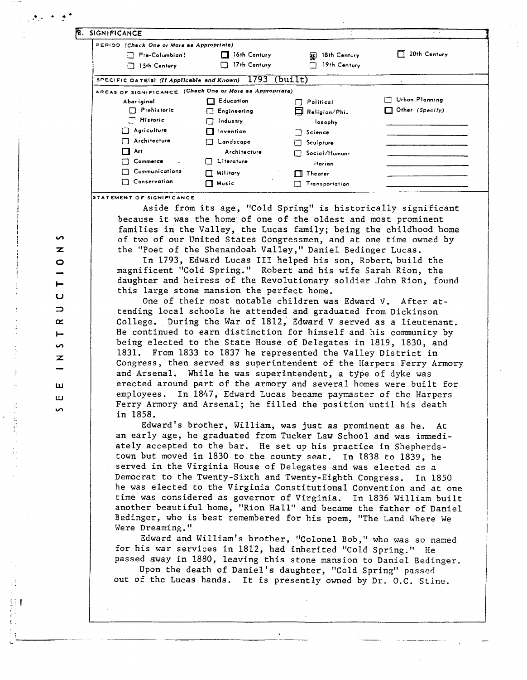| 8. SIGNIFICANCE                                           |                              |                      | $\sim$ $\sim$       |
|-----------------------------------------------------------|------------------------------|----------------------|---------------------|
| PERIOD (Check One or More as Appropriate)                 |                              |                      |                     |
| Pre-Columbian:                                            | 16th Century                 | 18th Century<br>RF.  | $\Box$ 20th Century |
| $\Box$ 15th Century                                       | 17th Century<br>$\mathsf{L}$ | 19th Century         |                     |
| SPECIFIC DATE(5) (If Applicable and Known) $1793$ (built) |                              |                      |                     |
| AREAS OF SIGNIFICANCE (Check One or More as Appropriate)  |                              |                      |                     |
| Abor iginal                                               | Education                    | Political            | Urban Planning      |
| $\Box$ Prehistoric                                        | Engineering                  | $\Box$ Religion/Phi. | Other (Specify)     |
| Historic                                                  | Industry                     | losophy              |                     |
| $\Box$ Agriculture                                        | $\Box$ Invention             | $\Box$ Science       |                     |
| Architecture<br>П                                         | Landscape                    | Sculpture            |                     |
| Art<br>П                                                  | Architecture                 | Social/Human-        |                     |
| Commerce                                                  | Literature<br>$\mathsf{I}$   | itarian              |                     |
| Communications                                            | Military<br>П                | $\Box$ Theater       |                     |
| $\Box$ Conservation                                       | Music<br>rт                  | Transportation       |                     |

STATEMENT OF SIGNIFICANCE

Aside from its age, "Cold Spring" is historically significant because it was the home of one of the oldest and most prominent families in the Valley, the Lucas family; being the childhood home of two of our United States Congressmen, and at one time owned by the "Poet of the Shenandoah Valley," Daniel Bedinger Lucas.

In 1793, Edward Lucas I11 helped his son, Robert, build the magnificent "Cold Spring." Robert and his wife Sarah Rion, the daughter and heiress of the Revolutionary soldier John Rion, found this large stone mansion the perfect home.

One of their most notable children was Edward V. After attending local schools he attended and graduated from Dickinson College. During the War of 1812, Edward V served as a lieutenant. He continued to earn distinction for himself and his community by being elected to the State House of Delegates in 1819, 1830, and 1831. From 1833 to 1837 he represented the Valley District in Congress, then served as superintendent of the Harpers Ferry Armory and Arsenal. While he was superintendent, a type of dyke was erected around part of the armory and several homes were built for employees. In 1847, Edward Lucas became paymaster of the Harpers Ferry Armory and Arsenal; he filled the position until his death in 1858.

Edward's brother, William, was just as prominent as he. At an early age, he graduated from Tucker Law School and was immediately accepted to the bar. He set up his practice in Shepherdstown but moved in 1830 to the county seat. In 1838 to 1839, he served in the Virginia House of Delegates and was elected as a Democrat to the Twenty-Sixth and Twenty-Eighth Congress. In 1850 he was elected to the Virginia Constitutional Convention and at one time was considered as governor of Virginia. In 1836 William built another beautiful home, "Rion Hall" and became the father of Daniel Bedinger, who is best remembered for his poem, "The Land Where We Were Dreaming. "

Edward and William's brother, "Colonel Bob," who was so named for his war services in 1812, had inherited "Cold Spring." He passed away in 1880, leaving this stone mansion to Daniel Bedinger.

Upon the death of Daniel's daughter, "Cold Spring" passed out of the Lucas hands. It is presently owned by Dr. O.C. Stine.

ທ  $\overline{\mathbf{z}}$  $\circ$  $\blacksquare$  $\mathbf{\omega}$  $\Rightarrow$  $\propto$  $\overline{\phantom{a}}$ ς,  $\mathbf{z}$ ш ш  $\sim$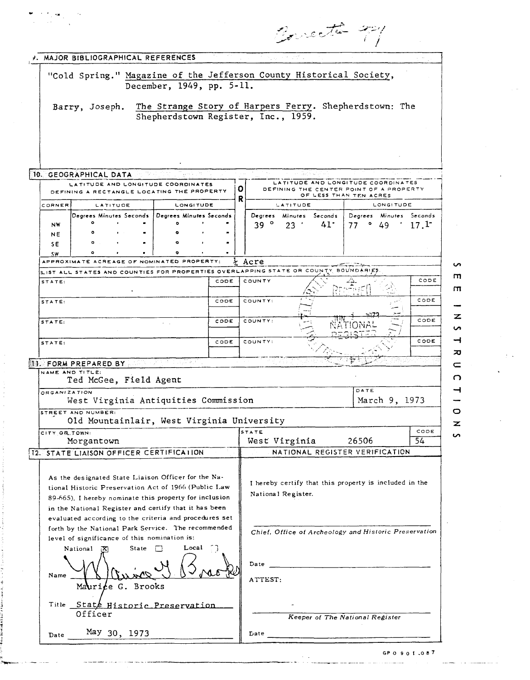|                                                                                                                 |                                                | Concette 921                                                                                                 |
|-----------------------------------------------------------------------------------------------------------------|------------------------------------------------|--------------------------------------------------------------------------------------------------------------|
| <b>J. MAJOR BIBLIOGRAPHICAL REFERENCES</b>                                                                      |                                                | e modrati u                                                                                                  |
|                                                                                                                 | December, 1949, pp. 5-11.                      | "Cold Spring." Magazine of the Jefferson County Historical Society,                                          |
|                                                                                                                 |                                                | Barry, Joseph. The Strange Story of Harpers Ferry. Shepherdstown: The                                        |
|                                                                                                                 | Shepherdstown Register, Inc., 1959.            |                                                                                                              |
|                                                                                                                 |                                                |                                                                                                              |
| 10. GEOGRAPHICAL DATA                                                                                           |                                                | $\sim$                                                                                                       |
| LATITUDE AND LONGITUDE COORDINATES<br>DEFINING A RECTANGLE LOCATING THE PROPERTY                                |                                                | LATITUDE AND LONGITUDE COORDINATES<br>О<br>DEFINING THE CENTER POINT OF A PROPERTY<br>OF LESS THAN TEN ACRES |
| <b>LATITUDE</b><br>CORNER<br>Degrees Minutes Seconds                                                            | LONGITUDE<br>Degrees Minutes Seconds           | R<br>LONGITUDE<br>LATITUDE<br>Degrees Minutes Seconds<br>Degrees Minutes Seconds                             |
| $\circ$<br>NW<br>NE                                                                                             | ö                                              | $\circ$<br>41 <sup>°</sup><br>$\cdot$ 17. <sup>1</sup><br>39<br>23<br>$\circ$<br>49<br>77                    |
| ۰<br>SE.<br>$\circ$<br><b>SW</b>                                                                                | $\circ$<br>$\bullet$<br>$\bullet$<br>$\bullet$ |                                                                                                              |
| APPROXIMATE ACREAGE OF NOMINATED PROPERTY:                                                                      | ×                                              | Acre<br>ILIST ALL STATES AND COUNTIES FOR PROPERTIES OVERLAPPING STATE OR COUNTY BOUNDARIES                  |
| STATE:<br>٠                                                                                                     | CODE                                           | CODE<br>COUNTY<br>Ą.<br>ا<br>سار                                                                             |
| STATE:                                                                                                          | CODE                                           | CODE<br>COUNTY:<br>an t                                                                                      |
| STATE:                                                                                                          | CODE<br>$\tau = \tau$                          | CODE<br>COUNTY:                                                                                              |
| STATE:                                                                                                          | CODE                                           | CODE<br>COUNTY:                                                                                              |
| <b>II. FORM PREPARED BY</b>                                                                                     | الإراقائيليون                                  | $\overline{v}$                                                                                               |
| NAME AND TITLE:<br>Ted McGee, Field Agent                                                                       |                                                |                                                                                                              |
| ORGANIZATION<br>West Virginia Antiquities Commission                                                            |                                                | DATE<br>March 9, 1973                                                                                        |
| STREET AND NUMBER:<br>Old Mountainlair, West Virginia University                                                |                                                |                                                                                                              |
| CITY OR TOWN:<br>Morgantown                                                                                     |                                                | 5TATE<br>CODE<br>West Virginia<br>26506<br>$\overline{54}$                                                   |
| <b>I2. STATE LIAISON OFFICER CERTIFICATION</b>                                                                  |                                                | NATIONAL REGISTER VERIFICATION                                                                               |
| As the designated State Liaison Officer for the Na-                                                             |                                                | I hereby certify that this property is included in the                                                       |
| tional Historic Preservation Act of 1966 (Public Law<br>89-665). I hereby nominate this property for inclusion  |                                                | National Register.                                                                                           |
| in the National Register and certify that it has been<br>evaluated according to the criteria and procedures set |                                                |                                                                                                              |
| forth by the National Park Service. The recommended<br>level of significance of this nomination is:             |                                                | Chief, Office of Archeology and Historic Preservation                                                        |
| State $\Box$<br>National $[X]$                                                                                  | Local $\bigcap$                                |                                                                                                              |
| Name                                                                                                            |                                                | Date                                                                                                         |
| Maurice G. Brooks                                                                                               |                                                | ATTEST:                                                                                                      |
|                                                                                                                 |                                                |                                                                                                              |
| Title State Historic Preservation                                                                               |                                                |                                                                                                              |
| Officer<br>May 30, 1973<br>Date                                                                                 |                                                | Keeper of The National Register<br>Date                                                                      |

GPO 90 **1.087**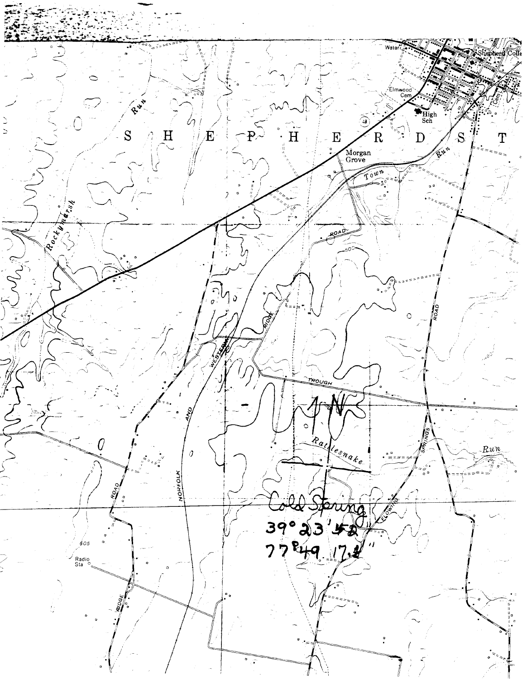